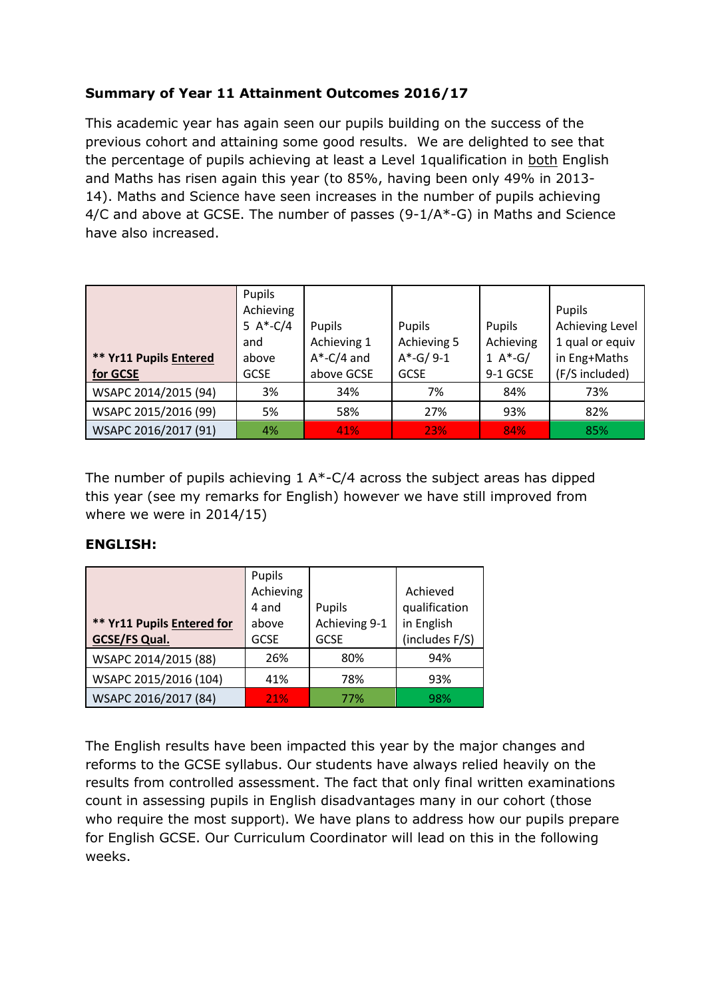## **Summary of Year 11 Attainment Outcomes 2016/17**

This academic year has again seen our pupils building on the success of the previous cohort and attaining some good results. We are delighted to see that the percentage of pupils achieving at least a Level 1qualification in both English and Maths has risen again this year (to 85%, having been only 49% in 2013- 14). Maths and Science have seen increases in the number of pupils achieving 4/C and above at GCSE. The number of passes (9-1/A\*-G) in Maths and Science have also increased.

| ** Yr11 Pupils Entered<br>for GCSE | Pupils<br>Achieving<br>5 $A*-C/4$<br>and<br>above<br><b>GCSE</b> | Pupils<br>Achieving 1<br>$A^*$ -C/4 and<br>above GCSE | Pupils<br>Achieving 5<br>$A*-G/9-1$<br><b>GCSE</b> | <b>Pupils</b><br>Achieving<br>1 $A*-G/$<br>9-1 GCSE | Pupils<br>Achieving Level<br>1 qual or equiv<br>in Eng+Maths<br>(F/S included) |
|------------------------------------|------------------------------------------------------------------|-------------------------------------------------------|----------------------------------------------------|-----------------------------------------------------|--------------------------------------------------------------------------------|
| WSAPC 2014/2015 (94)               | 3%                                                               | 34%                                                   | 7%                                                 | 84%                                                 | 73%                                                                            |
| WSAPC 2015/2016 (99)               | 5%                                                               | 58%                                                   | 27%                                                | 93%                                                 | 82%                                                                            |
| WSAPC 2016/2017 (91)               | 4%                                                               | 41%                                                   | <b>23%</b>                                         | 84%                                                 | 85%                                                                            |

The number of pupils achieving  $1 A*-C/4$  across the subject areas has dipped this year (see my remarks for English) however we have still improved from where we were in 2014/15)

## **ENGLISH:**

|                            | Pupils      |               |                |  |
|----------------------------|-------------|---------------|----------------|--|
|                            | Achieving   |               | Achieved       |  |
|                            | 4 and       | Pupils        | qualification  |  |
| ** Yr11 Pupils Entered for | above       | Achieving 9-1 | in English     |  |
| <b>GCSE/FS Qual.</b>       | <b>GCSE</b> | <b>GCSE</b>   | (includes F/S) |  |
| WSAPC 2014/2015 (88)       | 26%         | 80%           | 94%            |  |
| WSAPC 2015/2016 (104)      | 41%         | 78%           | 93%            |  |
| WSAPC 2016/2017 (84)       | 21%         | 77%           | 98%            |  |

The English results have been impacted this year by the major changes and reforms to the GCSE syllabus. Our students have always relied heavily on the results from controlled assessment. The fact that only final written examinations count in assessing pupils in English disadvantages many in our cohort (those who require the most support). We have plans to address how our pupils prepare for English GCSE. Our Curriculum Coordinator will lead on this in the following weeks.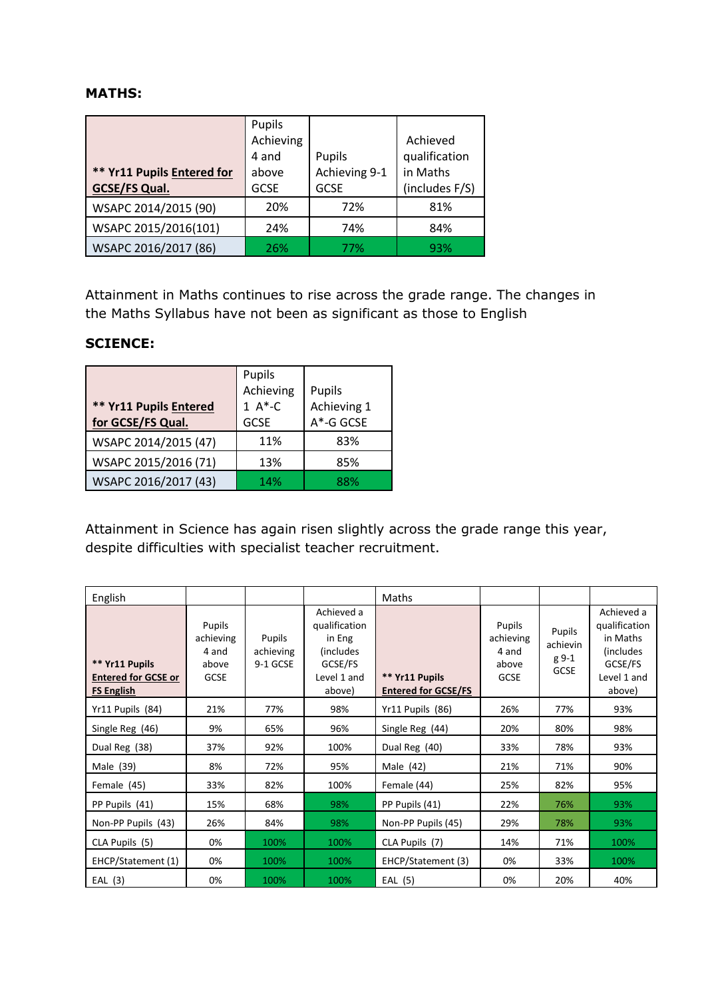## **MATHS:**

|                            | Pupils      |               |                |  |
|----------------------------|-------------|---------------|----------------|--|
|                            | Achieving   |               | Achieved       |  |
|                            | 4 and       | Pupils        | qualification  |  |
| ** Yr11 Pupils Entered for | above       | Achieving 9-1 | in Maths       |  |
| <b>GCSE/FS Qual.</b>       | <b>GCSE</b> | <b>GCSE</b>   | (includes F/S) |  |
| WSAPC 2014/2015 (90)       | 20%         | 72%           | 81%            |  |
| WSAPC 2015/2016(101)       | 24%         | 74%           | 84%            |  |
| WSAPC 2016/2017 (86)       | 26%         | 77%           | 93%            |  |

Attainment in Maths continues to rise across the grade range. The changes in the Maths Syllabus have not been as significant as those to English

## **SCIENCE:**

| <b>** Yr11 Pupils Entered</b><br>for GCSE/FS Qual. | Pupils<br>Achieving<br>$1 A*-C$<br><b>GCSE</b> | Pupils<br>Achieving 1<br>A*-G GCSE |
|----------------------------------------------------|------------------------------------------------|------------------------------------|
| WSAPC 2014/2015 (47)                               | 11%                                            | 83%                                |
| WSAPC 2015/2016 (71)                               | 13%                                            | 85%                                |
| WSAPC 2016/2017 (43)                               | 14%                                            | 88%                                |

Attainment in Science has again risen slightly across the grade range this year, despite difficulties with specialist teacher recruitment.

| English                                                           |                                                      |                                 |                                                                                         | Maths                                        |                                                      |                                            |                                                                                           |
|-------------------------------------------------------------------|------------------------------------------------------|---------------------------------|-----------------------------------------------------------------------------------------|----------------------------------------------|------------------------------------------------------|--------------------------------------------|-------------------------------------------------------------------------------------------|
| ** Yr11 Pupils<br><b>Entered for GCSE or</b><br><b>FS English</b> | Pupils<br>achieving<br>4 and<br>above<br><b>GCSE</b> | Pupils<br>achieving<br>9-1 GCSE | Achieved a<br>qualification<br>in Eng<br>(includes)<br>GCSE/FS<br>Level 1 and<br>above) | ** Yr11 Pupils<br><b>Entered for GCSE/FS</b> | Pupils<br>achieving<br>4 and<br>above<br><b>GCSE</b> | Pupils<br>achievin<br>g 9-1<br><b>GCSE</b> | Achieved a<br>qualification<br>in Maths<br>(includes)<br>GCSE/FS<br>Level 1 and<br>above) |
| Yr11 Pupils (84)                                                  | 21%                                                  | 77%                             | 98%                                                                                     | Yr11 Pupils (86)                             | 26%                                                  | 77%                                        | 93%                                                                                       |
| Single Reg (46)                                                   | 9%                                                   | 65%                             | 96%                                                                                     | Single Reg (44)                              | 20%                                                  | 80%                                        | 98%                                                                                       |
| Dual Reg (38)                                                     | 37%                                                  | 92%                             | 100%                                                                                    | Dual Reg (40)                                | 33%                                                  | 78%                                        | 93%                                                                                       |
| Male (39)                                                         | 8%                                                   | 72%                             | 95%                                                                                     | Male $(42)$                                  | 21%                                                  | 71%                                        | 90%                                                                                       |
| Female (45)                                                       | 33%                                                  | 82%                             | 100%                                                                                    | Female (44)                                  | 25%                                                  | 82%                                        | 95%                                                                                       |
| PP Pupils (41)                                                    | 15%                                                  | 68%                             | 98%                                                                                     | PP Pupils (41)                               | 22%                                                  | 76%                                        | 93%                                                                                       |
| Non-PP Pupils (43)                                                | 26%                                                  | 84%                             | 98%                                                                                     | Non-PP Pupils (45)                           | 29%                                                  | 78%                                        | 93%                                                                                       |
| CLA Pupils (5)                                                    | 0%                                                   | 100%                            | 100%                                                                                    | CLA Pupils (7)                               | 14%                                                  | 71%                                        | 100%                                                                                      |
| EHCP/Statement (1)                                                | 0%                                                   | 100%                            | 100%                                                                                    | EHCP/Statement (3)                           | 0%                                                   | 33%                                        | 100%                                                                                      |
| EAL(3)                                                            | 0%                                                   | 100%                            | 100%                                                                                    | EAL (5)                                      | 0%                                                   | 20%                                        | 40%                                                                                       |